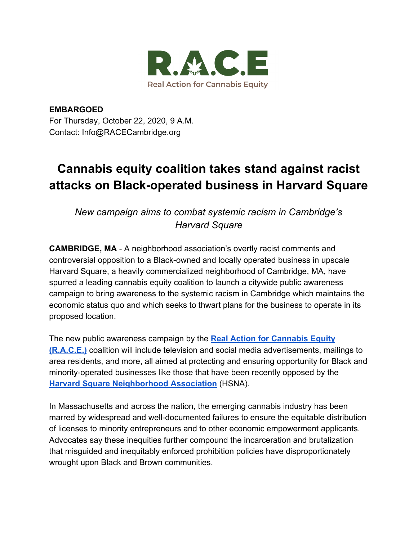

**EMBARGOED** For Thursday, October 22, 2020, 9 A.M. Contact: Info@RACECambridge.org

# **Cannabis equity coalition takes stand against racist attacks on Black-operated business in Harvard Square**

*New campaign aims to combat systemic racism in Cambridge's Harvard Square*

**CAMBRIDGE, MA** - A neighborhood association's overtly racist comments and controversial opposition to a Black-owned and locally operated business in upscale Harvard Square, a heavily commercialized neighborhood of Cambridge, MA, have spurred a leading cannabis equity coalition to launch a citywide public awareness campaign to bring awareness to the systemic racism in Cambridge which maintains the economic status quo and which seeks to thwart plans for the business to operate in its proposed location.

The new public awareness campaign by the **[Real Action for Cannabis Equity](http://racecambridge.org/) [\(R.A.C.E.\)](http://racecambridge.org/)** coalition will include television and social media advertisements, mailings to area residents, and more, all aimed at protecting and ensuring opportunity for Black and minority-operated businesses like those that have been recently opposed by the **[Harvard Square Neighborhood Association](https://www.harvardsquareneighborhood.org/committees.html)** (HSNA).

In Massachusetts and across the nation, the emerging cannabis industry has been marred by widespread and well-documented failures to ensure the equitable distribution of licenses to minority entrepreneurs and to other economic empowerment applicants. Advocates say these inequities further compound the incarceration and brutalization that misguided and inequitably enforced prohibition policies have disproportionately wrought upon Black and Brown communities.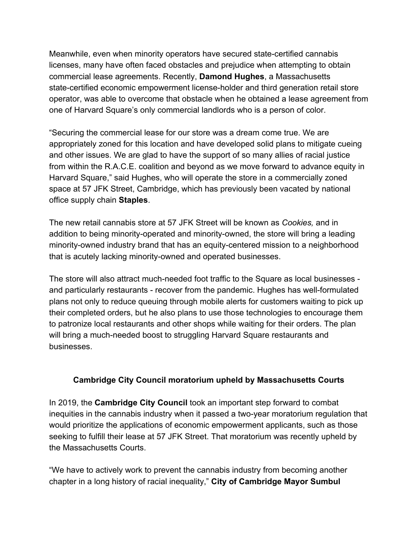Meanwhile, even when minority operators have secured state-certified cannabis licenses, many have often faced obstacles and prejudice when attempting to obtain commercial lease agreements. Recently, **Damond Hughes**, a Massachusetts state-certified economic empowerment license-holder and third generation retail store operator, was able to overcome that obstacle when he obtained a lease agreement from one of Harvard Square's only commercial landlords who is a person of color.

"Securing the commercial lease for our store was a dream come true. We are appropriately zoned for this location and have developed solid plans to mitigate cueing and other issues. We are glad to have the support of so many allies of racial justice from within the R.A.C.E. coalition and beyond as we move forward to advance equity in Harvard Square," said Hughes, who will operate the store in a commercially zoned space at 57 JFK Street, Cambridge, which has previously been vacated by national office supply chain **Staples**.

The new retail cannabis store at 57 JFK Street will be known as *Cookies,* and in addition to being minority-operated and minority-owned, the store will bring a leading minority-owned industry brand that has an equity-centered mission to a neighborhood that is acutely lacking minority-owned and operated businesses.

The store will also attract much-needed foot traffic to the Square as local businesses and particularly restaurants - recover from the pandemic. Hughes has well-formulated plans not only to reduce queuing through mobile alerts for customers waiting to pick up their completed orders, but he also plans to use those technologies to encourage them to patronize local restaurants and other shops while waiting for their orders. The plan will bring a much-needed boost to struggling Harvard Square restaurants and businesses.

## **Cambridge City Council moratorium upheld by Massachusetts Courts**

In 2019, the **Cambridge City Council** took an important step forward to combat inequities in the cannabis industry when it passed a two-year moratorium regulation that would prioritize the applications of economic empowerment applicants, such as those seeking to fulfill their lease at 57 JFK Street. That moratorium was recently upheld by the Massachusetts Courts.

"We have to actively work to prevent the cannabis industry from becoming another chapter in a long history of racial inequality," **City of Cambridge Mayor Sumbul**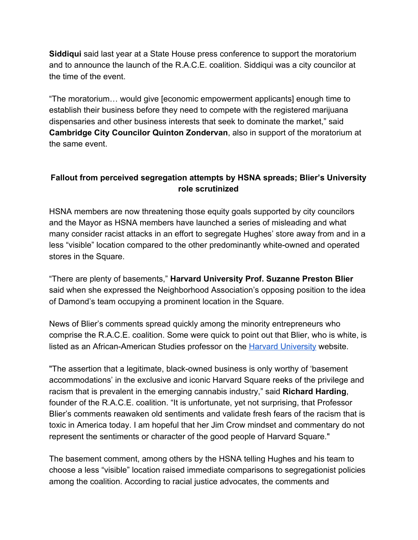**Siddiqui** said last year at a State House press conference to support the moratorium and to announce the launch of the R.A.C.E. coalition. Siddiqui was a city councilor at the time of the event.

"The moratorium… would give [economic empowerment applicants] enough time to establish their business before they need to compete with the registered marijuana dispensaries and other business interests that seek to dominate the market," said **Cambridge City Councilor Quinton Zondervan**, also in support of the moratorium at the same event.

# **Fallout from perceived segregation attempts by HSNA spreads; Blier's University role scrutinized**

HSNA members are now threatening those equity goals supported by city councilors and the Mayor as HSNA members have launched a series of misleading and what many consider racist attacks in an effort to segregate Hughes' store away from and in a less "visible" location compared to the other predominantly white-owned and operated stores in the Square.

"There are plenty of basements," **Harvard University Prof. Suzanne Preston Blier** said when she expressed the Neighborhood Association's opposing position to the idea of Damond's team occupying a prominent location in the Square.

News of Blier's comments spread quickly among the minority entrepreneurs who comprise the R.A.C.E. coalition. Some were quick to point out that Blier, who is white, is listed as an African-American Studies professor on the **Harvard University** website.

"The assertion that a legitimate, black-owned business is only worthy of 'basement accommodations' in the exclusive and iconic Harvard Square reeks of the privilege and racism that is prevalent in the emerging cannabis industry," said **Richard Harding**, founder of the R.A.C.E. coalition. "It is unfortunate, yet not surprising, that Professor Blier's comments reawaken old sentiments and validate fresh fears of the racism that is toxic in America today. I am hopeful that her Jim Crow mindset and commentary do not represent the sentiments or character of the good people of Harvard Square."

The basement comment, among others by the HSNA telling Hughes and his team to choose a less "visible" location raised immediate comparisons to segregationist policies among the coalition. According to racial justice advocates, the comments and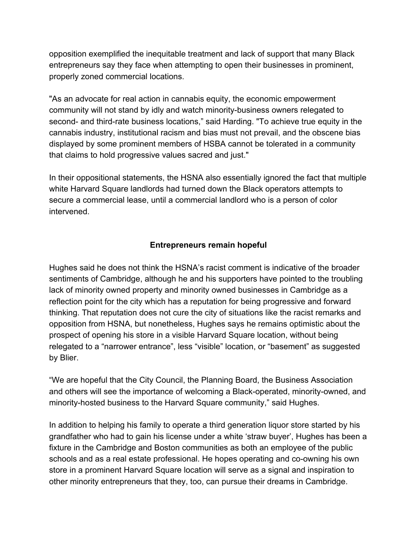opposition exemplified the inequitable treatment and lack of support that many Black entrepreneurs say they face when attempting to open their businesses in prominent, properly zoned commercial locations.

"As an advocate for real action in cannabis equity, the economic empowerment community will not stand by idly and watch minority-business owners relegated to second- and third-rate business locations," said Harding. "To achieve true equity in the cannabis industry, institutional racism and bias must not prevail, and the obscene bias displayed by some prominent members of HSBA cannot be tolerated in a community that claims to hold progressive values sacred and just."

In their oppositional statements, the HSNA also essentially ignored the fact that multiple white Harvard Square landlords had turned down the Black operators attempts to secure a commercial lease, until a commercial landlord who is a person of color intervened.

### **Entrepreneurs remain hopeful**

Hughes said he does not think the HSNA's racist comment is indicative of the broader sentiments of Cambridge, although he and his supporters have pointed to the troubling lack of minority owned property and minority owned businesses in Cambridge as a reflection point for the city which has a reputation for being progressive and forward thinking. That reputation does not cure the city of situations like the racist remarks and opposition from HSNA, but nonetheless, Hughes says he remains optimistic about the prospect of opening his store in a visible Harvard Square location, without being relegated to a "narrower entrance", less "visible" location, or "basement" as suggested by Blier.

"We are hopeful that the City Council, the Planning Board, the Business Association and others will see the importance of welcoming a Black-operated, minority-owned, and minority-hosted business to the Harvard Square community," said Hughes.

In addition to helping his family to operate a third generation liquor store started by his grandfather who had to gain his license under a white 'straw buyer', Hughes has been a fixture in the Cambridge and Boston communities as both an employee of the public schools and as a real estate professional. He hopes operating and co-owning his own store in a prominent Harvard Square location will serve as a signal and inspiration to other minority entrepreneurs that they, too, can pursue their dreams in Cambridge.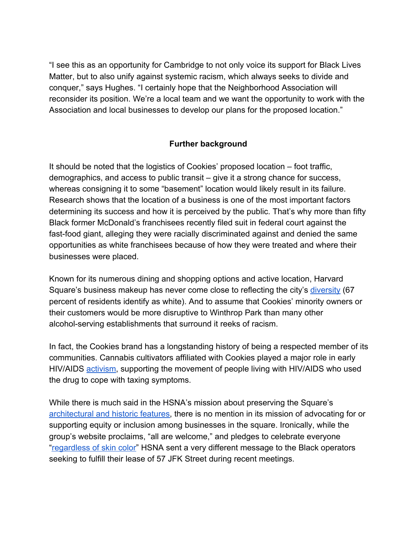"I see this as an opportunity for Cambridge to not only voice its support for Black Lives Matter, but to also unify against systemic racism, which always seeks to divide and conquer," says Hughes. "I certainly hope that the Neighborhood Association will reconsider its position. We're a local team and we want the opportunity to work with the Association and local businesses to develop our plans for the proposed location."

#### **Further background**

It should be noted that the logistics of Cookies' proposed location – foot traffic, demographics, and access to public transit – give it a strong chance for success, whereas consigning it to some "basement" location would likely result in its failure. Research shows that the location of a business is one of the most important factors determining its success and how it is perceived by the public. That's why more than fifty Black former McDonald's franchisees recently filed suit in federal court against the fast-food giant, alleging they were racially discriminated against and denied the same opportunities as white franchisees because of how they were treated and where their businesses were placed.

Known for its numerous dining and shopping options and active location, Harvard Square's business makeup has never come close to reflecting the city's [diversity](https://www.cambridgema.gov/CDD/factsandmaps/demographicfaq) (67 percent of residents identify as white). And to assume that Cookies' minority owners or their customers would be more disruptive to Winthrop Park than many other alcohol-serving establishments that surround it reeks of racism.

In fact, the Cookies brand has a longstanding history of being a respected member of its communities. Cannabis cultivators affiliated with Cookies played a major role in early HIV/AIDS [activism](https://www.kqed.org/arts/13878888/home-baked-is-a-potent-read-about-sfs-underground-cannabis-history), supporting the movement of people living with HIV/AIDS who used the drug to cope with taxing symptoms.

While there is much said in the HSNA's mission about preserving the Square's [architectural and historic features,](https://www.harvardsquareneighborhood.org/about-us.html) there is no mention in its mission of advocating for or supporting equity or inclusion among businesses in the square. Ironically, while the group's website proclaims, "all are welcome," and pledges to celebrate everyone "[regardless of skin color"](https://www.harvardsquareneighborhood.org/blog) HSNA sent a very different message to the Black operators seeking to fulfill their lease of 57 JFK Street during recent meetings.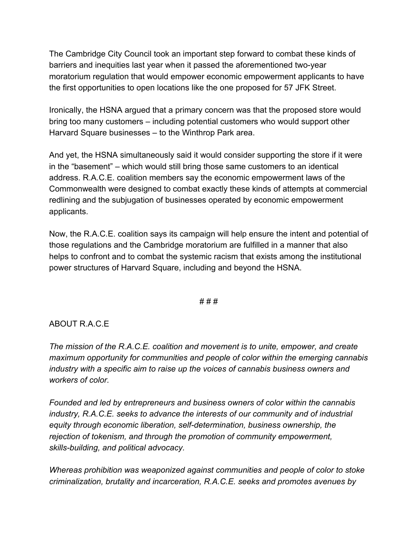The Cambridge City Council took an important step forward to combat these kinds of barriers and inequities last year when it passed the aforementioned two-year moratorium regulation that would empower economic empowerment applicants to have the first opportunities to open locations like the one proposed for 57 JFK Street.

Ironically, the HSNA argued that a primary concern was that the proposed store would bring too many customers – including potential customers who would support other Harvard Square businesses – to the Winthrop Park area.

And yet, the HSNA simultaneously said it would consider supporting the store if it were in the "basement" – which would still bring those same customers to an identical address. R.A.C.E. coalition members say the economic empowerment laws of the Commonwealth were designed to combat exactly these kinds of attempts at commercial redlining and the subjugation of businesses operated by economic empowerment applicants.

Now, the R.A.C.E. coalition says its campaign will help ensure the intent and potential of those regulations and the Cambridge moratorium are fulfilled in a manner that also helps to confront and to combat the systemic racism that exists among the institutional power structures of Harvard Square, including and beyond the HSNA.

#### # # #

#### ABOUT R.A.C.E

*The mission of the R.A.C.E. coalition and movement is to unite, empower, and create maximum opportunity for communities and people of color within the emerging cannabis industry with a specific aim to raise up the voices of cannabis business owners and workers of color.*

*Founded and led by entrepreneurs and business owners of color within the cannabis industry, R.A.C.E. seeks to advance the interests of our community and of industrial equity through economic liberation, self-determination, business ownership, the rejection of tokenism, and through the promotion of community empowerment, skills-building, and political advocacy.*

*Whereas prohibition was weaponized against communities and people of color to stoke criminalization, brutality and incarceration, R.A.C.E. seeks and promotes avenues by*